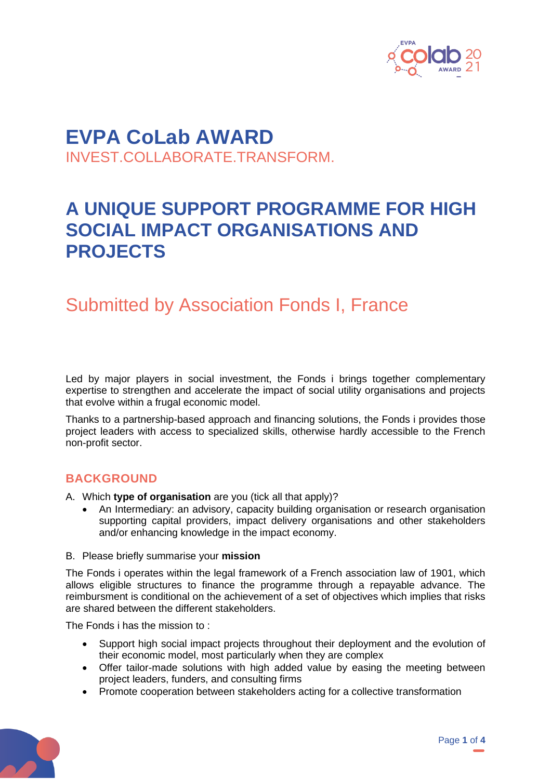

## **EVPA CoLab AWARD** INVEST.COLLABORATE.TRANSFORM.

# **A UNIQUE SUPPORT PROGRAMME FOR HIGH SOCIAL IMPACT ORGANISATIONS AND PROJECTS**

## Submitted by Association Fonds I, France

Led by major players in social investment, the Fonds i brings together complementary expertise to strengthen and accelerate the impact of social utility organisations and projects that evolve within a frugal economic model.

Thanks to a partnership-based approach and financing solutions, the Fonds i provides those project leaders with access to specialized skills, otherwise hardly accessible to the French non-profit sector.

### **BACKGROUND**

- A. Which **type of organisation** are you (tick all that apply)?
	- An Intermediary: an advisory, capacity building organisation or research organisation supporting capital providers, impact delivery organisations and other stakeholders and/or enhancing knowledge in the impact economy.
- B. Please briefly summarise your **mission**

The Fonds i operates within the legal framework of a French association law of 1901, which allows eligible structures to finance the programme through a repayable advance. The reimbursment is conditional on the achievement of a set of objectives which implies that risks are shared between the different stakeholders.

The Fonds i has the mission to :

- Support high social impact projects throughout their deployment and the evolution of their economic model, most particularly when they are complex
- Offer tailor-made solutions with high added value by easing the meeting between project leaders, funders, and consulting firms
- Promote cooperation between stakeholders acting for a collective transformation

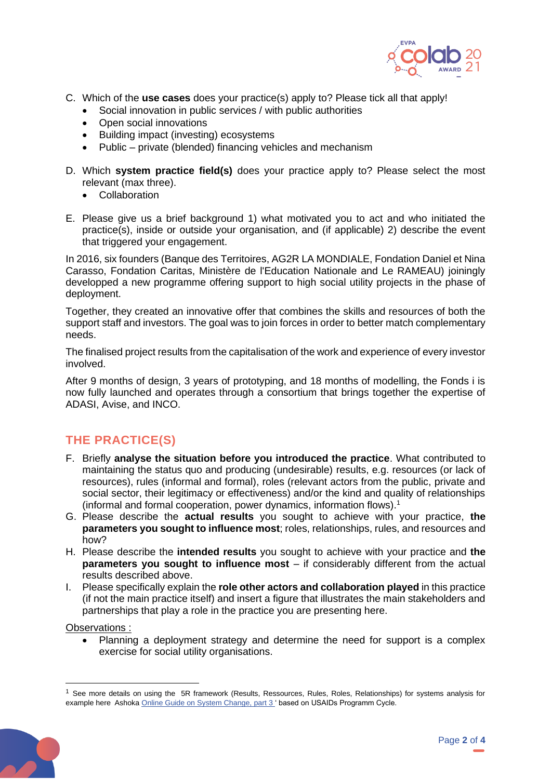

- C. Which of the **use cases** does your practice(s) apply to? Please tick all that apply!
	- Social innovation in public services / with public authorities
	- Open social innovations
	- Building impact (investing) ecosystems
	- Public private (blended) financing vehicles and mechanism
- D. Which **system practice field(s)** does your practice apply to? Please select the most relevant (max three).
	- Collaboration
- E. Please give us a brief background 1) what motivated you to act and who initiated the practice(s), inside or outside your organisation, and (if applicable) 2) describe the event that triggered your engagement.

In 2016, six founders (Banque des Territoires, AG2R LA MONDIALE, Fondation Daniel et Nina Carasso, Fondation Caritas, Ministère de l'Education Nationale and Le RAMEAU) joiningly developped a new programme offering support to high social utility projects in the phase of deployment.

Together, they created an innovative offer that combines the skills and resources of both the support staff and investors. The goal was to join forces in order to better match complementary needs.

The finalised project results from the capitalisation of the work and experience of every investor involved.

After 9 months of design, 3 years of prototyping, and 18 months of modelling, the Fonds i is now fully launched and operates through a consortium that brings together the expertise of ADASI, Avise, and INCO.

## **THE PRACTICE(S)**

- F. Briefly **analyse the situation before you introduced the practice**. What contributed to maintaining the status quo and producing (undesirable) results, e.g. resources (or lack of resources), rules (informal and formal), roles (relevant actors from the public, private and social sector, their legitimacy or effectiveness) and/or the kind and quality of relationships (informal and formal cooperation, power dynamics, information flows).<sup>1</sup>
- G. Please describe the **actual results** you sought to achieve with your practice, **the parameters you sought to influence most**; roles, relationships, rules, and resources and how?
- H. Please describe the **intended results** you sought to achieve with your practice and **the parameters you sought to influence most** – if considerably different from the actual results described above.
- I. Please specifically explain the **role other actors and collaboration played** in this practice (if not the main practice itself) and insert a figure that illustrates the main stakeholders and partnerships that play a role in the practice you are presenting here.

Observations :

• Planning a deployment strategy and determine the need for support is a complex exercise for social utility organisations.

 $<sup>1</sup>$  See more details on using the 5R framework (Results, Ressources, Rules, Roles, Relationships) for systems analysis for</sup> example here Ashok[a Online Guide on System Change, part](https://www.ashoka.org/en/story/animated-guide-changing-systems) 3' based on USAIDs Programm Cycle.

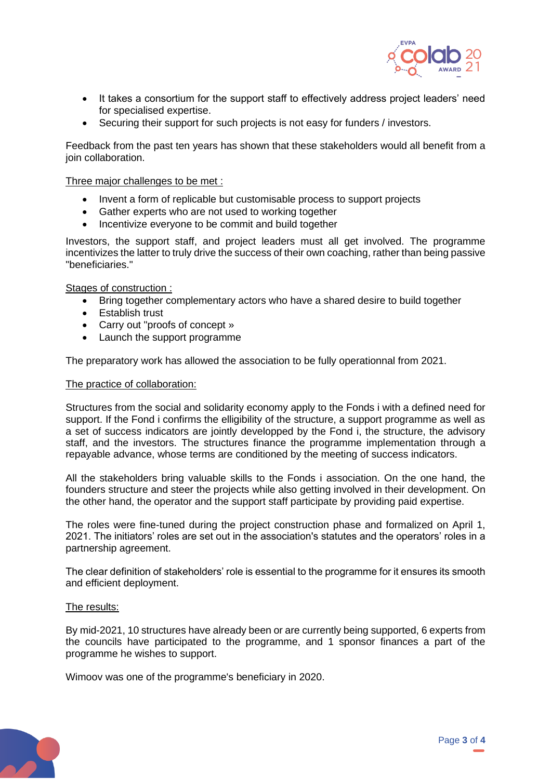

- It takes a consortium for the support staff to effectively address project leaders' need for specialised expertise.
- Securing their support for such projects is not easy for funders / investors.

Feedback from the past ten years has shown that these stakeholders would all benefit from a join collaboration.

Three major challenges to be met :

- Invent a form of replicable but customisable process to support projects
- Gather experts who are not used to working together
- Incentivize everyone to be commit and build together

Investors, the support staff, and project leaders must all get involved. The programme incentivizes the latter to truly drive the success of their own coaching, rather than being passive "beneficiaries."

Stages of construction :

- Bring together complementary actors who have a shared desire to build together
- Establish trust
- Carry out "proofs of concept »
- Launch the support programme

The preparatory work has allowed the association to be fully operationnal from 2021.

#### The practice of collaboration:

Structures from the social and solidarity economy apply to the Fonds i with a defined need for support. If the Fond i confirms the elligibility of the structure, a support programme as well as a set of success indicators are jointly developped by the Fond i, the structure, the advisory staff, and the investors. The structures finance the programme implementation through a repayable advance, whose terms are conditioned by the meeting of success indicators.

All the stakeholders bring valuable skills to the Fonds i association. On the one hand, the founders structure and steer the projects while also getting involved in their development. On the other hand, the operator and the support staff participate by providing paid expertise.

The roles were fine-tuned during the project construction phase and formalized on April 1, 2021. The initiators' roles are set out in the association's statutes and the operators' roles in a partnership agreement.

The clear definition of stakeholders' role is essential to the programme for it ensures its smooth and efficient deployment.

#### The results:

By mid-2021, 10 structures have already been or are currently being supported, 6 experts from the councils have participated to the programme, and 1 sponsor finances a part of the programme he wishes to support.

Wimoov was one of the programme's beneficiary in 2020.